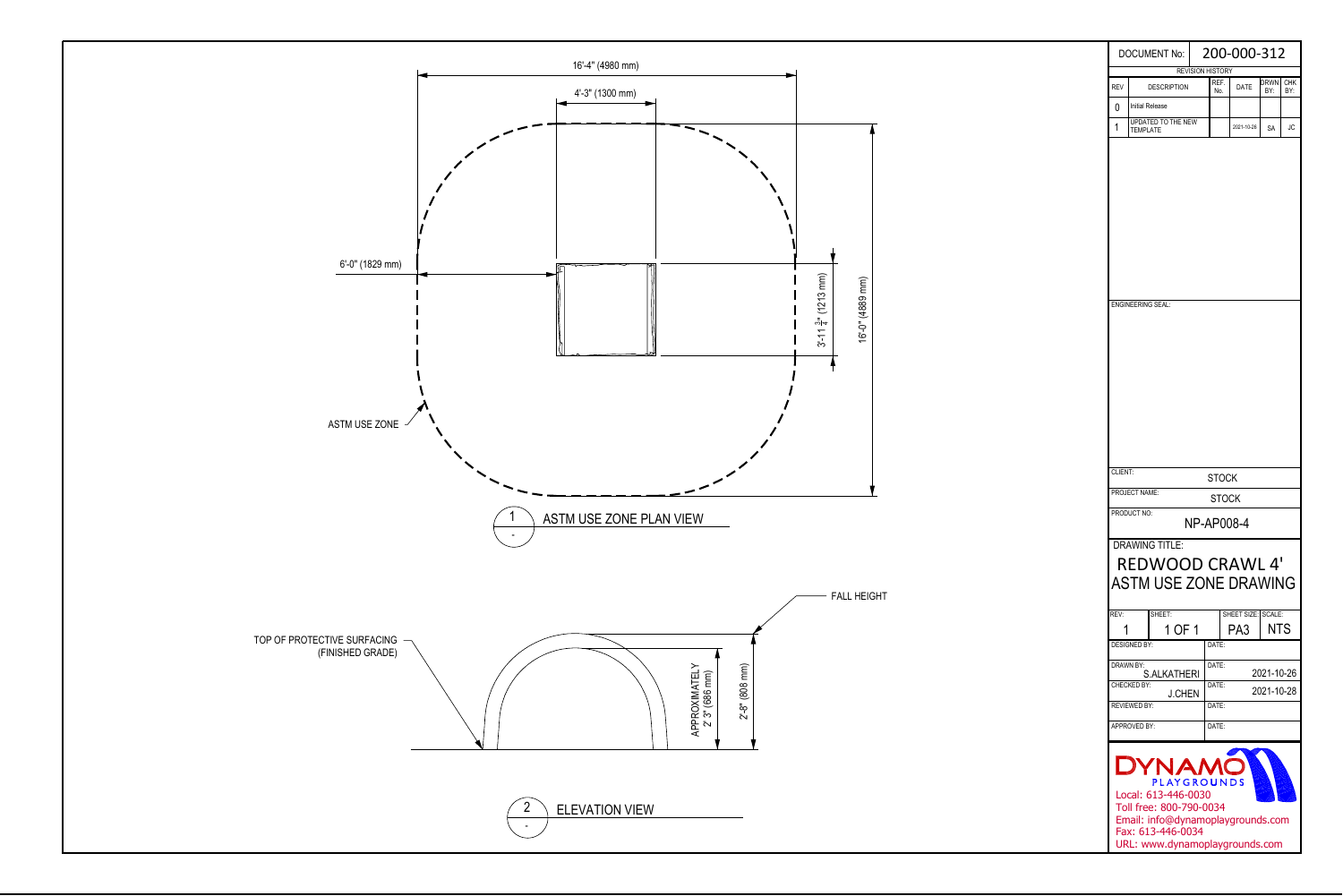

| <b>DOCUMENT No:</b>                                                                                                                                                |                                              |  | 200-000-312                     |      |                          |     |  |  |  |  |  |  |
|--------------------------------------------------------------------------------------------------------------------------------------------------------------------|----------------------------------------------|--|---------------------------------|------|--------------------------|-----|--|--|--|--|--|--|
| <b>REV</b>                                                                                                                                                         | <b>DESCRIPTION</b>                           |  | <b>REVISION HISTORY</b><br>REF. | DATE | drwn                     | CHK |  |  |  |  |  |  |
|                                                                                                                                                                    |                                              |  | No.                             |      | BY:                      | BY: |  |  |  |  |  |  |
| 0                                                                                                                                                                  | <b>Initial Release</b><br>UPDATED TO THE NEW |  |                                 |      |                          |     |  |  |  |  |  |  |
| 1                                                                                                                                                                  | <b>TEMPLATE</b>                              |  | 2021-10-26                      | SA   | JС                       |     |  |  |  |  |  |  |
|                                                                                                                                                                    | <b>ENGINEERING SEAL:</b>                     |  |                                 |      |                          |     |  |  |  |  |  |  |
| CLIENT:                                                                                                                                                            |                                              |  | STOCK                           |      |                          |     |  |  |  |  |  |  |
| PROJECT NAME:<br>STOCK                                                                                                                                             |                                              |  |                                 |      |                          |     |  |  |  |  |  |  |
| PRODUCT NO:<br>NP-AP008-4                                                                                                                                          |                                              |  |                                 |      |                          |     |  |  |  |  |  |  |
| <b>DRAWING TITLE:</b><br><b>REDWOOD CRAWL 4'</b><br><b>ASTM USE ZONE DRAWING</b><br>REV:<br>SHEET:<br>SHEET SIZE: SCALE:                                           |                                              |  |                                 |      |                          |     |  |  |  |  |  |  |
|                                                                                                                                                                    | 1 OF 1                                       |  |                                 | PA3  | <b>NTS</b>               |     |  |  |  |  |  |  |
|                                                                                                                                                                    | <b>DESIGNED BY:</b>                          |  | DATE:                           |      |                          |     |  |  |  |  |  |  |
| DRAWN BY:                                                                                                                                                          |                                              |  | DATE:                           |      |                          |     |  |  |  |  |  |  |
|                                                                                                                                                                    | S.ALKATHERI<br>CHECKED BY:                   |  | DATE:                           |      | 2021-10-26<br>2021-10-28 |     |  |  |  |  |  |  |
|                                                                                                                                                                    | <b>J.CHEN</b><br><b>REVIEWED BY:</b>         |  | DATE:                           |      |                          |     |  |  |  |  |  |  |
|                                                                                                                                                                    | APPROVED BY:                                 |  | DATE:                           |      |                          |     |  |  |  |  |  |  |
|                                                                                                                                                                    |                                              |  |                                 |      |                          |     |  |  |  |  |  |  |
| LYNAM<br>PLAYGROUNDS<br>Local: 613-446-0030<br>Toll free: 800-790-0034<br>Email: info@dynamoplaygrounds.com<br>Fax: 613-446-0034<br>URL: www.dynamoplaygrounds.com |                                              |  |                                 |      |                          |     |  |  |  |  |  |  |